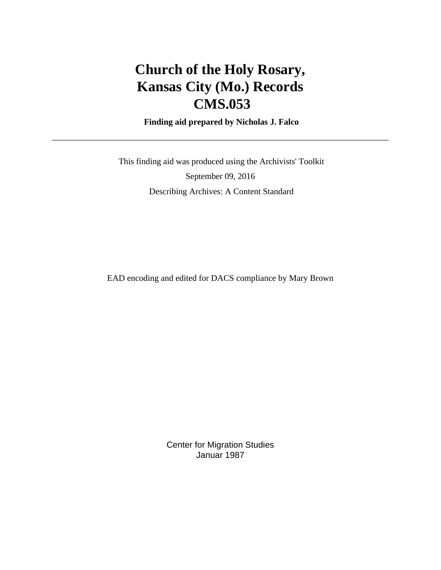# **Church of the Holy Rosary, Kansas City (Mo.) Records CMS.053**

 **Finding aid prepared by Nicholas J. Falco**

 This finding aid was produced using the Archivists' Toolkit September 09, 2016 Describing Archives: A Content Standard

EAD encoding and edited for DACS compliance by Mary Brown

Center for Migration Studies Januar 1987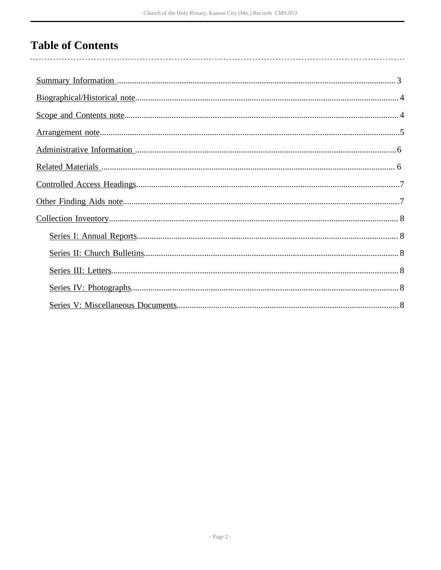# **Table of Contents**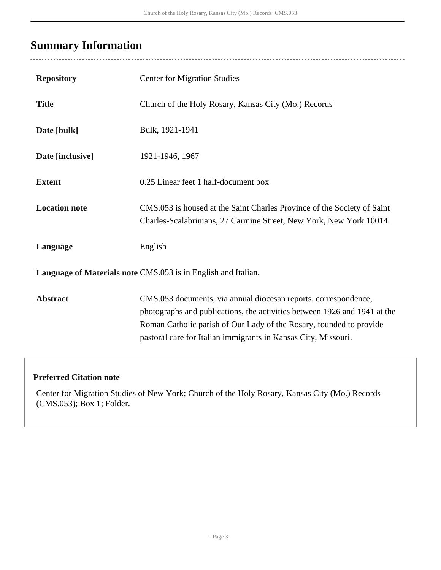## <span id="page-2-0"></span>**Summary Information**

 $\overline{a}$ 

| <b>Repository</b>                                             | <b>Center for Migration Studies</b>                                                                                                                                                                                                                                                   |  |
|---------------------------------------------------------------|---------------------------------------------------------------------------------------------------------------------------------------------------------------------------------------------------------------------------------------------------------------------------------------|--|
| <b>Title</b>                                                  | Church of the Holy Rosary, Kansas City (Mo.) Records                                                                                                                                                                                                                                  |  |
| Date [bulk]                                                   | Bulk, 1921-1941                                                                                                                                                                                                                                                                       |  |
| Date [inclusive]                                              | 1921-1946, 1967                                                                                                                                                                                                                                                                       |  |
| <b>Extent</b>                                                 | 0.25 Linear feet 1 half-document box                                                                                                                                                                                                                                                  |  |
| <b>Location note</b>                                          | CMS.053 is housed at the Saint Charles Province of the Society of Saint<br>Charles-Scalabrinians, 27 Carmine Street, New York, New York 10014.                                                                                                                                        |  |
| Language                                                      | English                                                                                                                                                                                                                                                                               |  |
| Language of Materials note CMS.053 is in English and Italian. |                                                                                                                                                                                                                                                                                       |  |
| <b>Abstract</b>                                               | CMS.053 documents, via annual diocesan reports, correspondence,<br>photographs and publications, the activities between 1926 and 1941 at the<br>Roman Catholic parish of Our Lady of the Rosary, founded to provide<br>pastoral care for Italian immigrants in Kansas City, Missouri. |  |

#### **Preferred Citation note**

Center for Migration Studies of New York; Church of the Holy Rosary, Kansas City (Mo.) Records (CMS.053); Box 1; Folder.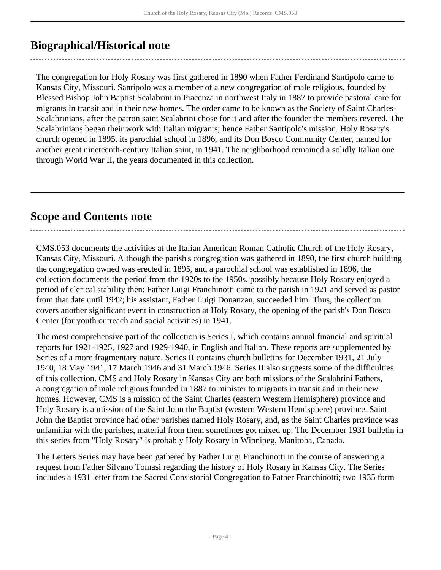### <span id="page-3-0"></span>**Biographical/Historical note**

The congregation for Holy Rosary was first gathered in 1890 when Father Ferdinand Santipolo came to Kansas City, Missouri. Santipolo was a member of a new congregation of male religious, founded by Blessed Bishop John Baptist Scalabrini in Piacenza in northwest Italy in 1887 to provide pastoral care for migrants in transit and in their new homes. The order came to be known as the Society of Saint Charles-Scalabrinians, after the patron saint Scalabrini chose for it and after the founder the members revered. The Scalabrinians began their work with Italian migrants; hence Father Santipolo's mission. Holy Rosary's church opened in 1895, its parochial school in 1896, and its Don Bosco Community Center, named for another great nineteenth-century Italian saint, in 1941. The neighborhood remained a solidly Italian one through World War II, the years documented in this collection.

### <span id="page-3-1"></span>**Scope and Contents note**

CMS.053 documents the activities at the Italian American Roman Catholic Church of the Holy Rosary, Kansas City, Missouri. Although the parish's congregation was gathered in 1890, the first church building the congregation owned was erected in 1895, and a parochial school was established in 1896, the collection documents the period from the 1920s to the 1950s, possibly because Holy Rosary enjoyed a period of clerical stability then: Father Luigi Franchinotti came to the parish in 1921 and served as pastor from that date until 1942; his assistant, Father Luigi Donanzan, succeeded him. Thus, the collection covers another significant event in construction at Holy Rosary, the opening of the parish's Don Bosco Center (for youth outreach and social activities) in 1941.

The most comprehensive part of the collection is Series I, which contains annual financial and spiritual reports for 1921-1925, 1927 and 1929-1940, in English and Italian. These reports are supplemented by Series of a more fragmentary nature. Series II contains church bulletins for December 1931, 21 July 1940, 18 May 1941, 17 March 1946 and 31 March 1946. Series II also suggests some of the difficulties of this collection. CMS and Holy Rosary in Kansas City are both missions of the Scalabrini Fathers, a congregation of male religious founded in 1887 to minister to migrants in transit and in their new homes. However, CMS is a mission of the Saint Charles (eastern Western Hemisphere) province and Holy Rosary is a mission of the Saint John the Baptist (western Western Hemisphere) province. Saint John the Baptist province had other parishes named Holy Rosary, and, as the Saint Charles province was unfamiliar with the parishes, material from them sometimes got mixed up. The December 1931 bulletin in this series from "Holy Rosary" is probably Holy Rosary in Winnipeg, Manitoba, Canada.

The Letters Series may have been gathered by Father Luigi Franchinotti in the course of answering a request from Father Silvano Tomasi regarding the history of Holy Rosary in Kansas City. The Series includes a 1931 letter from the Sacred Consistorial Congregation to Father Franchinotti; two 1935 form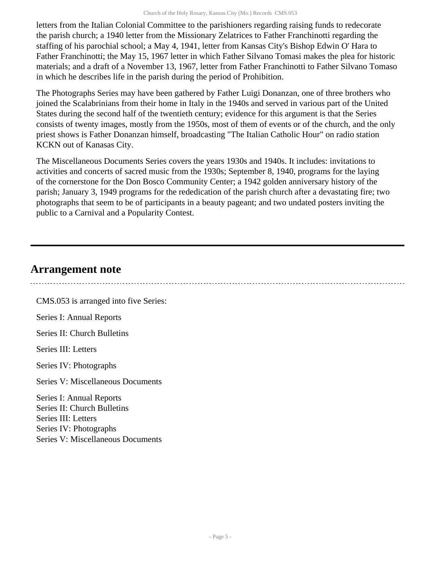letters from the Italian Colonial Committee to the parishioners regarding raising funds to redecorate the parish church; a 1940 letter from the Missionary Zelatrices to Father Franchinotti regarding the staffing of his parochial school; a May 4, 1941, letter from Kansas City's Bishop Edwin O' Hara to Father Franchinotti; the May 15, 1967 letter in which Father Silvano Tomasi makes the plea for historic materials; and a draft of a November 13, 1967, letter from Father Franchinotti to Father Silvano Tomaso in which he describes life in the parish during the period of Prohibition.

The Photographs Series may have been gathered by Father Luigi Donanzan, one of three brothers who joined the Scalabrinians from their home in Italy in the 1940s and served in various part of the United States during the second half of the twentieth century; evidence for this argument is that the Series consists of twenty images, mostly from the 1950s, most of them of events or of the church, and the only priest shows is Father Donanzan himself, broadcasting "The Italian Catholic Hour" on radio station KCKN out of Kanasas City.

The Miscellaneous Documents Series covers the years 1930s and 1940s. It includes: invitations to activities and concerts of sacred music from the 1930s; September 8, 1940, programs for the laying of the cornerstone for the Don Bosco Community Center; a 1942 golden anniversary history of the parish; January 3, 1949 programs for the rededication of the parish church after a devastating fire; two photographs that seem to be of participants in a beauty pageant; and two undated posters inviting the public to a Carnival and a Popularity Contest.

### <span id="page-4-0"></span>**Arrangement note**

CMS.053 is arranged into five Series: Series I: Annual Reports Series II: Church Bulletins Series III: Letters Series IV: Photographs Series V: Miscellaneous Documents Series I: Annual Reports Series II: Church Bulletins Series III: Letters Series IV: Photographs Series V: Miscellaneous Documents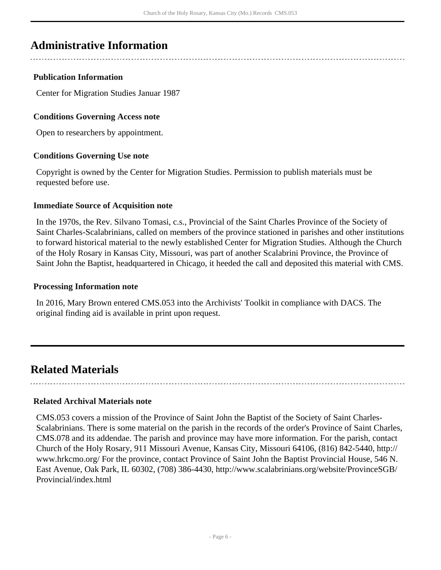### <span id="page-5-0"></span>**Administrative Information**

#### **Publication Information**

Center for Migration Studies Januar 1987

#### **Conditions Governing Access note**

Open to researchers by appointment.

#### **Conditions Governing Use note**

Copyright is owned by the Center for Migration Studies. Permission to publish materials must be requested before use.

#### **Immediate Source of Acquisition note**

In the 1970s, the Rev. Silvano Tomasi, c.s., Provincial of the Saint Charles Province of the Society of Saint Charles-Scalabrinians, called on members of the province stationed in parishes and other institutions to forward historical material to the newly established Center for Migration Studies. Although the Church of the Holy Rosary in Kansas City, Missouri, was part of another Scalabrini Province, the Province of Saint John the Baptist, headquartered in Chicago, it heeded the call and deposited this material with CMS.

#### **Processing Information note**

In 2016, Mary Brown entered CMS.053 into the Archivists' Toolkit in compliance with DACS. The original finding aid is available in print upon request.

### <span id="page-5-1"></span>**Related Materials**

#### **Related Archival Materials note**

CMS.053 covers a mission of the Province of Saint John the Baptist of the Society of Saint Charles-Scalabrinians. There is some material on the parish in the records of the order's Province of Saint Charles, CMS.078 and its addendae. The parish and province may have more information. For the parish, contact Church of the Holy Rosary, 911 Missouri Avenue, Kansas City, Missouri 64106, (816) 842-5440, http:// www.hrkcmo.org/ For the province, contact Province of Saint John the Baptist Provincial House, 546 N. East Avenue, Oak Park, IL 60302, (708) 386-4430, http://www.scalabrinians.org/website/ProvinceSGB/ Provincial/index.html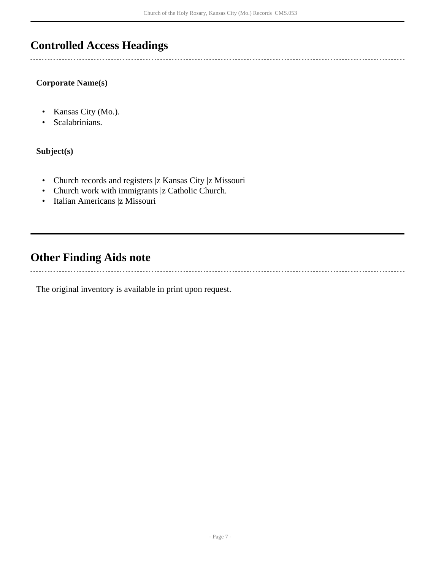## <span id="page-6-0"></span>**Controlled Access Headings**

#### **Corporate Name(s)**

- Kansas City (Mo.).
- Scalabrinians.

#### **Subject(s)**

 $\sim$ 

- Church records and registers |z Kansas City |z Missouri
- Church work with immigrants |z Catholic Church.
- Italian Americans |z Missouri

## <span id="page-6-1"></span>**Other Finding Aids note**

The original inventory is available in print upon request.